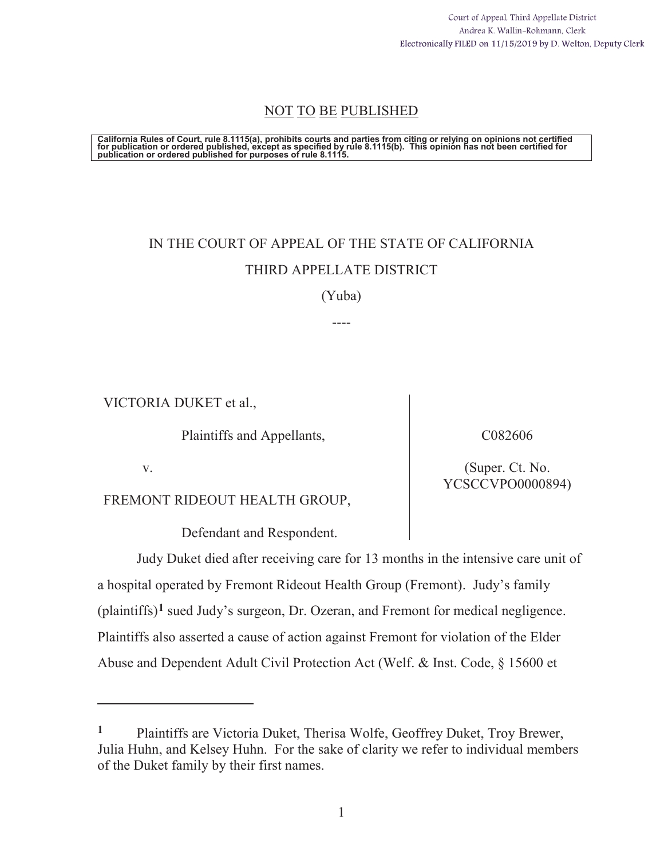Court of Appeal, Third Appellate District Andrea K. Wallin-Rohmann, Clerk Electronically FILED on 11/15/2019 by D. Welton, Deputy Clerk

# NOT TO BE PUBLISHED

California Rules of Court, rule 8.1115(a), prohibits courts and parties from citing or relying on opinions not certified<br>for publication or ordered published, except as specified by rule 8.1115(b). This opinion has not be

# IN THE COURT OF APPEAL OF THE STATE OF CALIFORNIA THIRD APPELLATE DISTRICT

(Yuba)

----

VICTORIA DUKET et al.,

Plaintiffs and Appellants,

C082606

(Super. Ct. No. YCSCCVPO0000894)

v.

 $\overline{a}$ 

FREMONT RIDEOUT HEALTH GROUP,

Defendant and Respondent.

Judy Duket died after receiving care for 13 months in the intensive care unit of a hospital operated by Fremont Rideout Health Group (Fremont). Judy's family (plaintiffs)**1** sued Judy's surgeon, Dr. Ozeran, and Fremont for medical negligence. Plaintiffs also asserted a cause of action against Fremont for violation of the Elder Abuse and Dependent Adult Civil Protection Act (Welf. & Inst. Code, § 15600 et

**<sup>1</sup>** Plaintiffs are Victoria Duket, Therisa Wolfe, Geoffrey Duket, Troy Brewer, Julia Huhn, and Kelsey Huhn. For the sake of clarity we refer to individual members of the Duket family by their first names.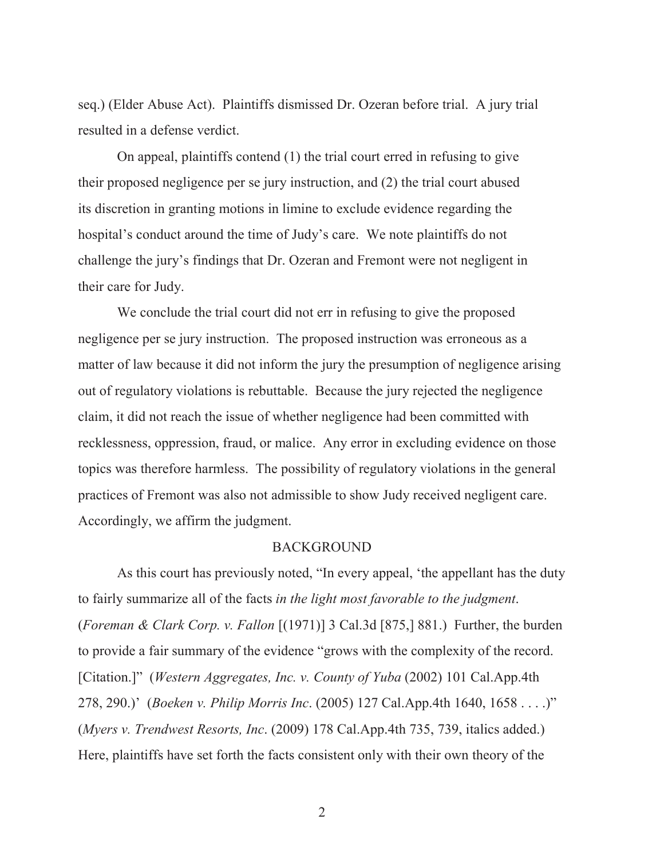seq.) (Elder Abuse Act). Plaintiffs dismissed Dr. Ozeran before trial. A jury trial resulted in a defense verdict.

On appeal, plaintiffs contend (1) the trial court erred in refusing to give their proposed negligence per se jury instruction, and (2) the trial court abused its discretion in granting motions in limine to exclude evidence regarding the hospital's conduct around the time of Judy's care. We note plaintiffs do not challenge the jury's findings that Dr. Ozeran and Fremont were not negligent in their care for Judy.

We conclude the trial court did not err in refusing to give the proposed negligence per se jury instruction. The proposed instruction was erroneous as a matter of law because it did not inform the jury the presumption of negligence arising out of regulatory violations is rebuttable. Because the jury rejected the negligence claim, it did not reach the issue of whether negligence had been committed with recklessness, oppression, fraud, or malice. Any error in excluding evidence on those topics was therefore harmless. The possibility of regulatory violations in the general practices of Fremont was also not admissible to show Judy received negligent care. Accordingly, we affirm the judgment.

#### **BACKGROUND**

As this court has previously noted, "In every appeal, 'the appellant has the duty to fairly summarize all of the facts *in the light most favorable to the judgment*. (*Foreman & Clark Corp. v. Fallon* [(1971)] 3 Cal.3d [875,] 881.) Further, the burden to provide a fair summary of the evidence "grows with the complexity of the record. [Citation.]" (*Western Aggregates, Inc. v. County of Yuba* (2002) 101 Cal.App.4th 278, 290.)' (*Boeken v. Philip Morris Inc*. (2005) 127 Cal.App.4th 1640, 1658 . . . .)" (*Myers v. Trendwest Resorts, Inc*. (2009) 178 Cal.App.4th 735, 739, italics added.) Here, plaintiffs have set forth the facts consistent only with their own theory of the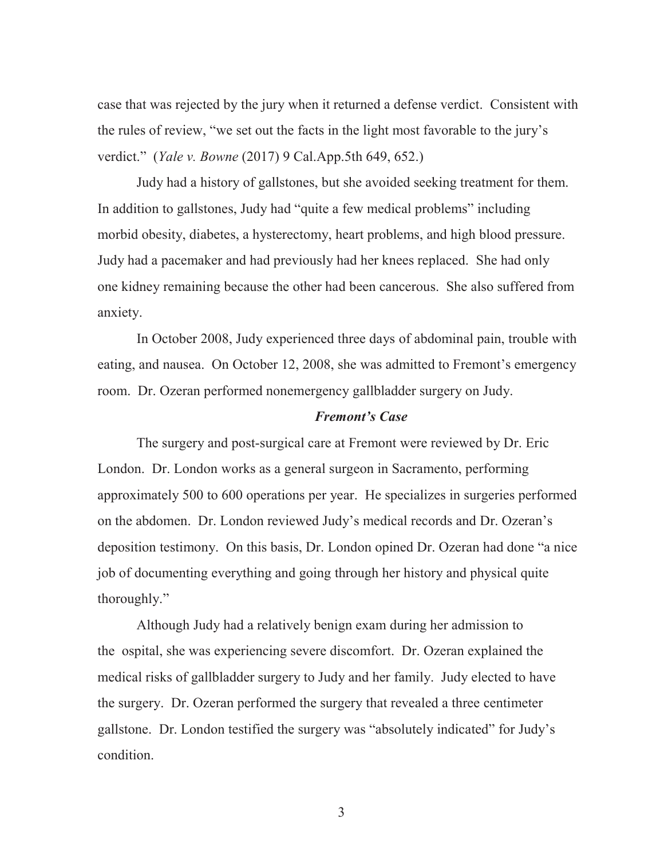case that was rejected by the jury when it returned a defense verdict. Consistent with the rules of review, "we set out the facts in the light most favorable to the jury's verdict." (*Yale v. Bowne* (2017) 9 Cal.App.5th 649, 652.)

Judy had a history of gallstones, but she avoided seeking treatment for them. In addition to gallstones, Judy had "quite a few medical problems" including morbid obesity, diabetes, a hysterectomy, heart problems, and high blood pressure. Judy had a pacemaker and had previously had her knees replaced. She had only one kidney remaining because the other had been cancerous. She also suffered from anxiety.

In October 2008, Judy experienced three days of abdominal pain, trouble with eating, and nausea. On October 12, 2008, she was admitted to Fremont's emergency room. Dr. Ozeran performed nonemergency gallbladder surgery on Judy.

### *Fremont's Case*

The surgery and post-surgical care at Fremont were reviewed by Dr. Eric London. Dr. London works as a general surgeon in Sacramento, performing approximately 500 to 600 operations per year. He specializes in surgeries performed on the abdomen. Dr. London reviewed Judy's medical records and Dr. Ozeran's deposition testimony. On this basis, Dr. London opined Dr. Ozeran had done "a nice job of documenting everything and going through her history and physical quite thoroughly."

Although Judy had a relatively benign exam during her admission to the ospital, she was experiencing severe discomfort. Dr. Ozeran explained the medical risks of gallbladder surgery to Judy and her family. Judy elected to have the surgery. Dr. Ozeran performed the surgery that revealed a three centimeter gallstone. Dr. London testified the surgery was "absolutely indicated" for Judy's condition.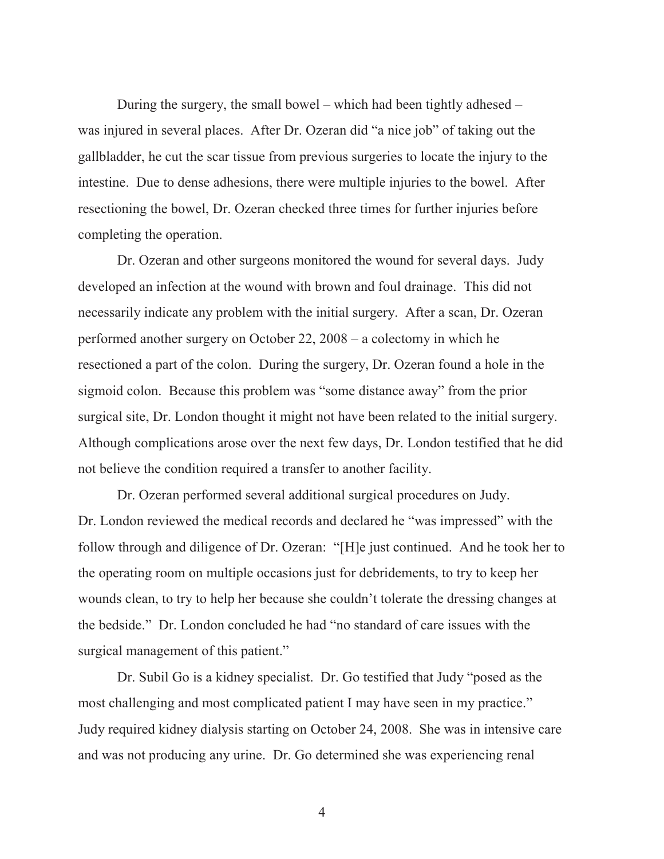During the surgery, the small bowel – which had been tightly adhesed – was injured in several places. After Dr. Ozeran did "a nice job" of taking out the gallbladder, he cut the scar tissue from previous surgeries to locate the injury to the intestine. Due to dense adhesions, there were multiple injuries to the bowel. After resectioning the bowel, Dr. Ozeran checked three times for further injuries before completing the operation.

Dr. Ozeran and other surgeons monitored the wound for several days. Judy developed an infection at the wound with brown and foul drainage. This did not necessarily indicate any problem with the initial surgery. After a scan, Dr. Ozeran performed another surgery on October 22, 2008 – a colectomy in which he resectioned a part of the colon. During the surgery, Dr. Ozeran found a hole in the sigmoid colon. Because this problem was "some distance away" from the prior surgical site, Dr. London thought it might not have been related to the initial surgery. Although complications arose over the next few days, Dr. London testified that he did not believe the condition required a transfer to another facility.

Dr. Ozeran performed several additional surgical procedures on Judy. Dr. London reviewed the medical records and declared he "was impressed" with the follow through and diligence of Dr. Ozeran: "[H]e just continued. And he took her to the operating room on multiple occasions just for debridements, to try to keep her wounds clean, to try to help her because she couldn't tolerate the dressing changes at the bedside." Dr. London concluded he had "no standard of care issues with the surgical management of this patient."

Dr. Subil Go is a kidney specialist. Dr. Go testified that Judy "posed as the most challenging and most complicated patient I may have seen in my practice." Judy required kidney dialysis starting on October 24, 2008. She was in intensive care and was not producing any urine. Dr. Go determined she was experiencing renal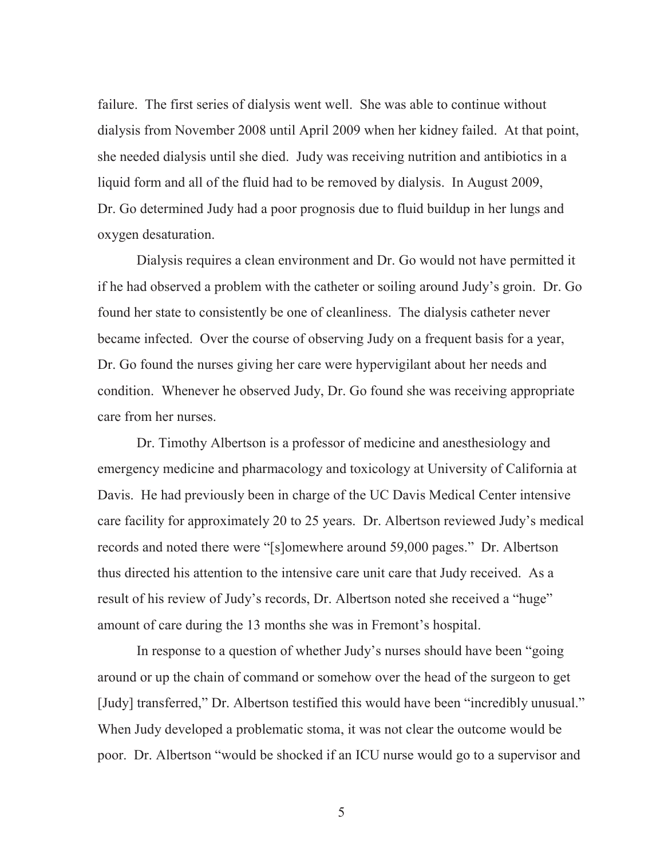failure. The first series of dialysis went well. She was able to continue without dialysis from November 2008 until April 2009 when her kidney failed. At that point, she needed dialysis until she died. Judy was receiving nutrition and antibiotics in a liquid form and all of the fluid had to be removed by dialysis. In August 2009, Dr. Go determined Judy had a poor prognosis due to fluid buildup in her lungs and oxygen desaturation.

Dialysis requires a clean environment and Dr. Go would not have permitted it if he had observed a problem with the catheter or soiling around Judy's groin. Dr. Go found her state to consistently be one of cleanliness. The dialysis catheter never became infected. Over the course of observing Judy on a frequent basis for a year, Dr. Go found the nurses giving her care were hypervigilant about her needs and condition. Whenever he observed Judy, Dr. Go found she was receiving appropriate care from her nurses.

Dr. Timothy Albertson is a professor of medicine and anesthesiology and emergency medicine and pharmacology and toxicology at University of California at Davis. He had previously been in charge of the UC Davis Medical Center intensive care facility for approximately 20 to 25 years. Dr. Albertson reviewed Judy's medical records and noted there were "[s]omewhere around 59,000 pages." Dr. Albertson thus directed his attention to the intensive care unit care that Judy received. As a result of his review of Judy's records, Dr. Albertson noted she received a "huge" amount of care during the 13 months she was in Fremont's hospital.

In response to a question of whether Judy's nurses should have been "going around or up the chain of command or somehow over the head of the surgeon to get [Judy] transferred," Dr. Albertson testified this would have been "incredibly unusual." When Judy developed a problematic stoma, it was not clear the outcome would be poor. Dr. Albertson "would be shocked if an ICU nurse would go to a supervisor and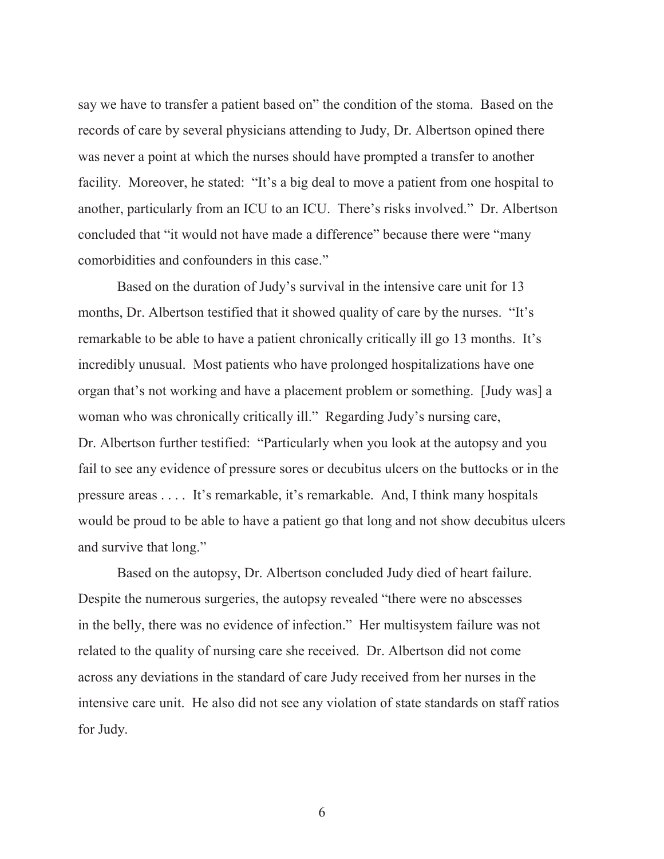say we have to transfer a patient based on" the condition of the stoma. Based on the records of care by several physicians attending to Judy, Dr. Albertson opined there was never a point at which the nurses should have prompted a transfer to another facility. Moreover, he stated: "It's a big deal to move a patient from one hospital to another, particularly from an ICU to an ICU. There's risks involved." Dr. Albertson concluded that "it would not have made a difference" because there were "many comorbidities and confounders in this case."

Based on the duration of Judy's survival in the intensive care unit for 13 months, Dr. Albertson testified that it showed quality of care by the nurses. "It's remarkable to be able to have a patient chronically critically ill go 13 months. It's incredibly unusual. Most patients who have prolonged hospitalizations have one organ that's not working and have a placement problem or something. [Judy was] a woman who was chronically critically ill." Regarding Judy's nursing care, Dr. Albertson further testified: "Particularly when you look at the autopsy and you fail to see any evidence of pressure sores or decubitus ulcers on the buttocks or in the pressure areas . . . . It's remarkable, it's remarkable. And, I think many hospitals would be proud to be able to have a patient go that long and not show decubitus ulcers and survive that long."

Based on the autopsy, Dr. Albertson concluded Judy died of heart failure. Despite the numerous surgeries, the autopsy revealed "there were no abscesses in the belly, there was no evidence of infection." Her multisystem failure was not related to the quality of nursing care she received. Dr. Albertson did not come across any deviations in the standard of care Judy received from her nurses in the intensive care unit. He also did not see any violation of state standards on staff ratios for Judy.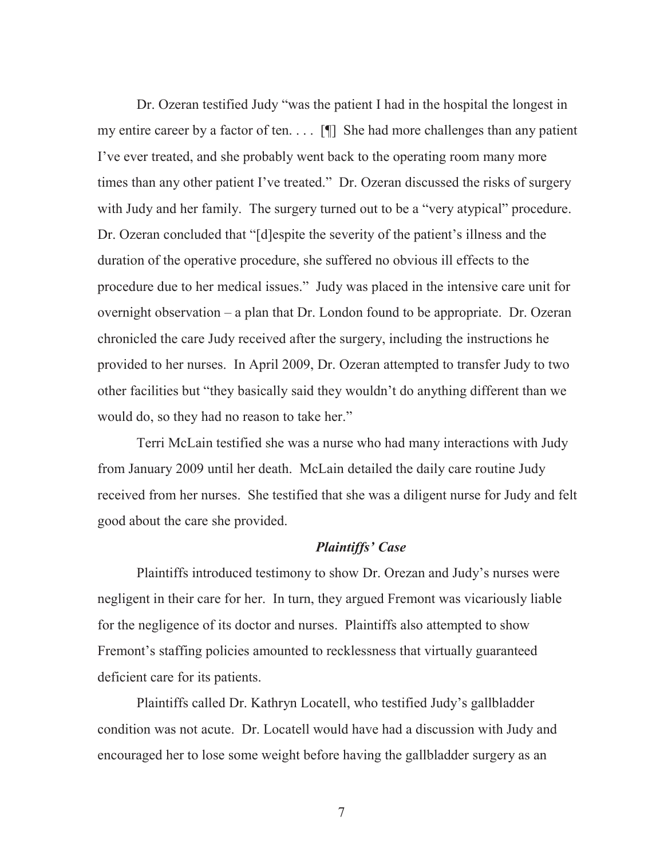Dr. Ozeran testified Judy "was the patient I had in the hospital the longest in my entire career by a factor of ten.  $\[\cdot\]$  She had more challenges than any patient I've ever treated, and she probably went back to the operating room many more times than any other patient I've treated." Dr. Ozeran discussed the risks of surgery with Judy and her family. The surgery turned out to be a "very atypical" procedure. Dr. Ozeran concluded that "[d]espite the severity of the patient's illness and the duration of the operative procedure, she suffered no obvious ill effects to the procedure due to her medical issues." Judy was placed in the intensive care unit for overnight observation – a plan that Dr. London found to be appropriate. Dr. Ozeran chronicled the care Judy received after the surgery, including the instructions he provided to her nurses. In April 2009, Dr. Ozeran attempted to transfer Judy to two other facilities but "they basically said they wouldn't do anything different than we would do, so they had no reason to take her."

Terri McLain testified she was a nurse who had many interactions with Judy from January 2009 until her death. McLain detailed the daily care routine Judy received from her nurses. She testified that she was a diligent nurse for Judy and felt good about the care she provided.

#### *Plaintiffs' Case*

Plaintiffs introduced testimony to show Dr. Orezan and Judy's nurses were negligent in their care for her. In turn, they argued Fremont was vicariously liable for the negligence of its doctor and nurses. Plaintiffs also attempted to show Fremont's staffing policies amounted to recklessness that virtually guaranteed deficient care for its patients.

Plaintiffs called Dr. Kathryn Locatell, who testified Judy's gallbladder condition was not acute. Dr. Locatell would have had a discussion with Judy and encouraged her to lose some weight before having the gallbladder surgery as an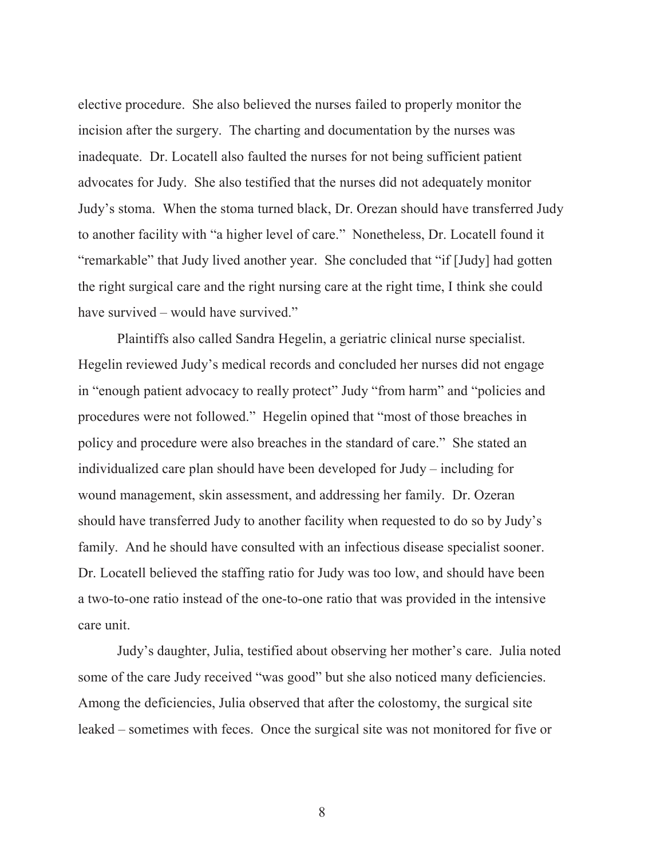elective procedure. She also believed the nurses failed to properly monitor the incision after the surgery. The charting and documentation by the nurses was inadequate. Dr. Locatell also faulted the nurses for not being sufficient patient advocates for Judy. She also testified that the nurses did not adequately monitor Judy's stoma. When the stoma turned black, Dr. Orezan should have transferred Judy to another facility with "a higher level of care." Nonetheless, Dr. Locatell found it "remarkable" that Judy lived another year. She concluded that "if [Judy] had gotten the right surgical care and the right nursing care at the right time, I think she could have survived – would have survived."

Plaintiffs also called Sandra Hegelin, a geriatric clinical nurse specialist. Hegelin reviewed Judy's medical records and concluded her nurses did not engage in "enough patient advocacy to really protect" Judy "from harm" and "policies and procedures were not followed." Hegelin opined that "most of those breaches in policy and procedure were also breaches in the standard of care." She stated an individualized care plan should have been developed for Judy – including for wound management, skin assessment, and addressing her family. Dr. Ozeran should have transferred Judy to another facility when requested to do so by Judy's family. And he should have consulted with an infectious disease specialist sooner. Dr. Locatell believed the staffing ratio for Judy was too low, and should have been a two-to-one ratio instead of the one-to-one ratio that was provided in the intensive care unit.

Judy's daughter, Julia, testified about observing her mother's care. Julia noted some of the care Judy received "was good" but she also noticed many deficiencies. Among the deficiencies, Julia observed that after the colostomy, the surgical site leaked – sometimes with feces. Once the surgical site was not monitored for five or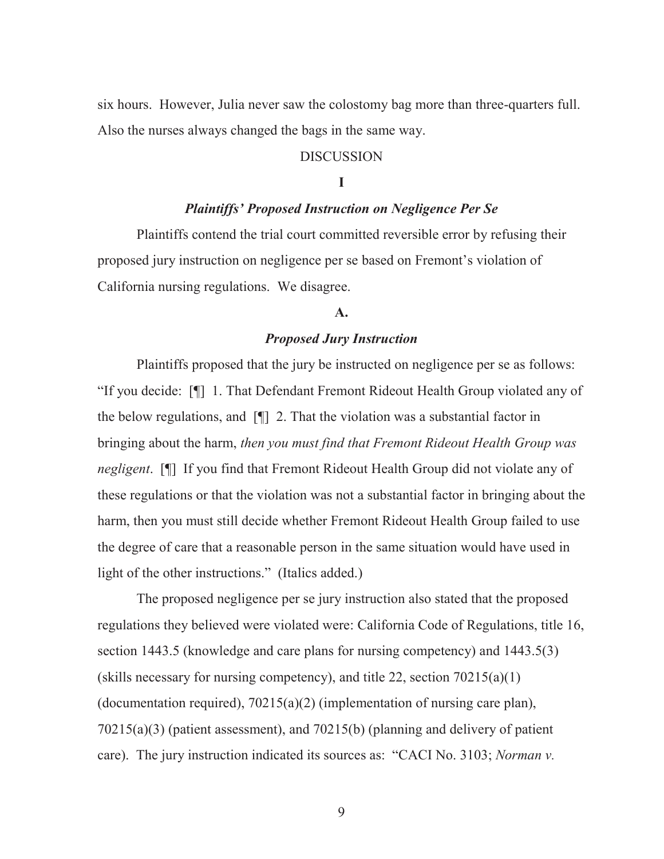six hours. However, Julia never saw the colostomy bag more than three-quarters full. Also the nurses always changed the bags in the same way.

#### DISCUSSION

#### **I**

### *Plaintiffs' Proposed Instruction on Negligence Per Se*

Plaintiffs contend the trial court committed reversible error by refusing their proposed jury instruction on negligence per se based on Fremont's violation of California nursing regulations. We disagree.

#### **A.**

# *Proposed Jury Instruction*

Plaintiffs proposed that the jury be instructed on negligence per se as follows: "If you decide: [¶] 1. That Defendant Fremont Rideout Health Group violated any of the below regulations, and [¶] 2. That the violation was a substantial factor in bringing about the harm, *then you must find that Fremont Rideout Health Group was negligent*. [¶] If you find that Fremont Rideout Health Group did not violate any of these regulations or that the violation was not a substantial factor in bringing about the harm, then you must still decide whether Fremont Rideout Health Group failed to use the degree of care that a reasonable person in the same situation would have used in light of the other instructions." (Italics added.)

The proposed negligence per se jury instruction also stated that the proposed regulations they believed were violated were: California Code of Regulations, title 16, section 1443.5 (knowledge and care plans for nursing competency) and 1443.5(3) (skills necessary for nursing competency), and title 22, section  $70215(a)(1)$ (documentation required),  $70215(a)(2)$  (implementation of nursing care plan), 70215(a)(3) (patient assessment), and 70215(b) (planning and delivery of patient care). The jury instruction indicated its sources as: "CACI No. 3103; *Norman v.*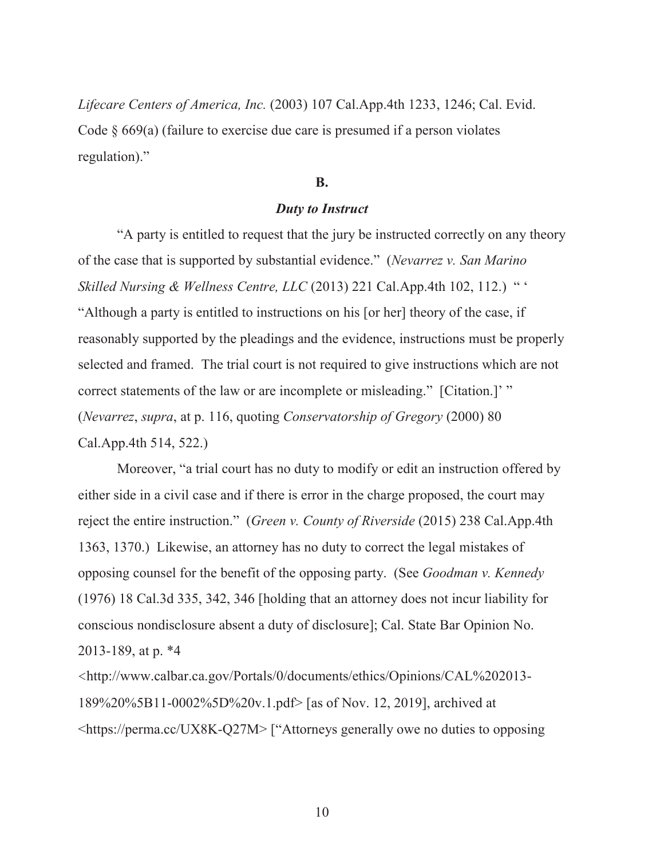*Lifecare Centers of America, Inc.* (2003) 107 Cal.App.4th 1233, 1246; Cal. Evid. Code  $\S$  669(a) (failure to exercise due care is presumed if a person violates regulation)."

#### **B.**

#### *Duty to Instruct*

"A party is entitled to request that the jury be instructed correctly on any theory of the case that is supported by substantial evidence." (*Nevarrez v. San Marino Skilled Nursing & Wellness Centre, LLC* (2013) 221 Cal.App.4th 102, 112.) " ' "Although a party is entitled to instructions on his [or her] theory of the case, if reasonably supported by the pleadings and the evidence, instructions must be properly selected and framed. The trial court is not required to give instructions which are not correct statements of the law or are incomplete or misleading." [Citation.]' " (*Nevarrez*, *supra*, at p. 116, quoting *Conservatorship of Gregory* (2000) 80 Cal.App.4th 514, 522.)

Moreover, "a trial court has no duty to modify or edit an instruction offered by either side in a civil case and if there is error in the charge proposed, the court may reject the entire instruction." (*Green v. County of Riverside* (2015) 238 Cal.App.4th 1363, 1370.) Likewise, an attorney has no duty to correct the legal mistakes of opposing counsel for the benefit of the opposing party. (See *Goodman v. Kennedy* (1976) 18 Cal.3d 335, 342, 346 [holding that an attorney does not incur liability for conscious nondisclosure absent a duty of disclosure]; Cal. State Bar Opinion No. 2013-189, at p. \*4

<http://www.calbar.ca.gov/Portals/0/documents/ethics/Opinions/CAL%202013- 189%20%5B11-0002%5D%20v.1.pdf> [as of Nov. 12, 2019], archived at <https://perma.cc/UX8K-Q27M> ["Attorneys generally owe no duties to opposing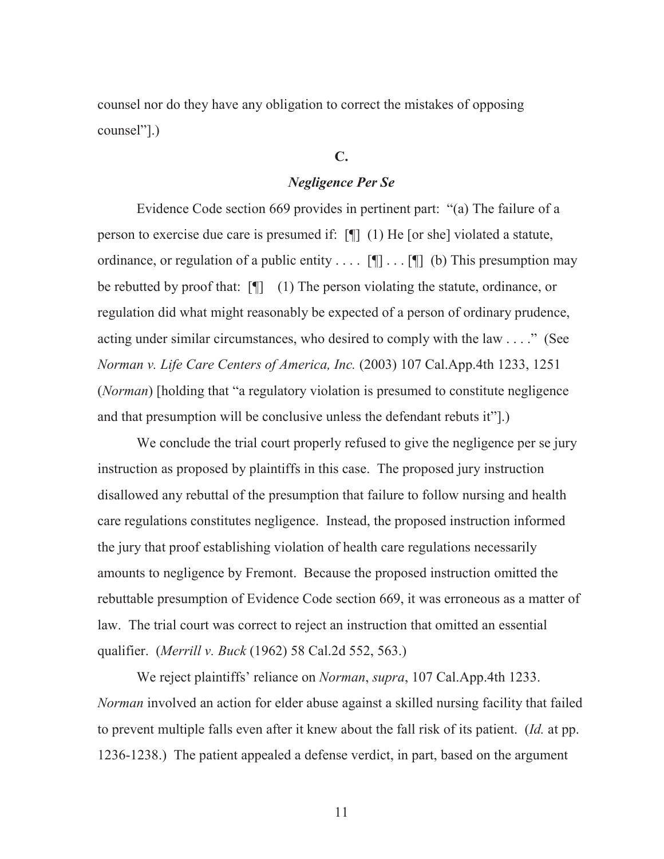counsel nor do they have any obligation to correct the mistakes of opposing counsel"].)

# **C.**

#### *Negligence Per Se*

Evidence Code section 669 provides in pertinent part: "(a) The failure of a person to exercise due care is presumed if: [¶] (1) He [or she] violated a statute, ordinance, or regulation of a public entity . . . .  $[\P]$  . . .  $[\P]$  (b) This presumption may be rebutted by proof that: [¶] (1) The person violating the statute, ordinance, or regulation did what might reasonably be expected of a person of ordinary prudence, acting under similar circumstances, who desired to comply with the law . . . ." (See *Norman v. Life Care Centers of America, Inc.* (2003) 107 Cal.App.4th 1233, 1251 (*Norman*) [holding that "a regulatory violation is presumed to constitute negligence and that presumption will be conclusive unless the defendant rebuts it"].)

We conclude the trial court properly refused to give the negligence per se jury instruction as proposed by plaintiffs in this case. The proposed jury instruction disallowed any rebuttal of the presumption that failure to follow nursing and health care regulations constitutes negligence. Instead, the proposed instruction informed the jury that proof establishing violation of health care regulations necessarily amounts to negligence by Fremont. Because the proposed instruction omitted the rebuttable presumption of Evidence Code section 669, it was erroneous as a matter of law. The trial court was correct to reject an instruction that omitted an essential qualifier. (*Merrill v. Buck* (1962) 58 Cal.2d 552, 563.)

We reject plaintiffs' reliance on *Norman*, *supra*, 107 Cal.App.4th 1233. *Norman* involved an action for elder abuse against a skilled nursing facility that failed to prevent multiple falls even after it knew about the fall risk of its patient. (*Id.* at pp. 1236-1238.) The patient appealed a defense verdict, in part, based on the argument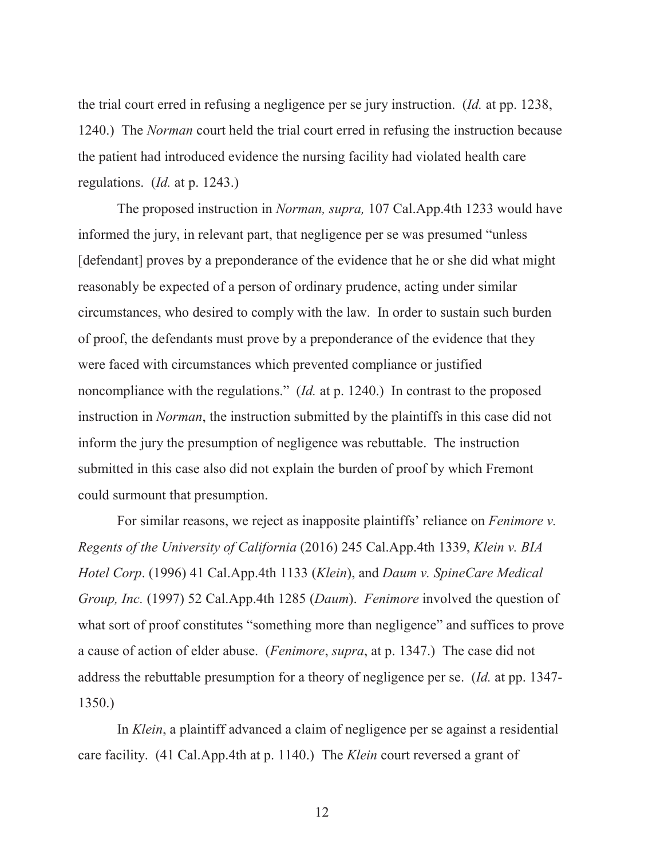the trial court erred in refusing a negligence per se jury instruction. (*Id.* at pp. 1238, 1240.) The *Norman* court held the trial court erred in refusing the instruction because the patient had introduced evidence the nursing facility had violated health care regulations. (*Id.* at p. 1243.)

The proposed instruction in *Norman, supra,* 107 Cal.App.4th 1233 would have informed the jury, in relevant part, that negligence per se was presumed "unless [defendant] proves by a preponderance of the evidence that he or she did what might reasonably be expected of a person of ordinary prudence, acting under similar circumstances, who desired to comply with the law. In order to sustain such burden of proof, the defendants must prove by a preponderance of the evidence that they were faced with circumstances which prevented compliance or justified noncompliance with the regulations." (*Id.* at p. 1240.) In contrast to the proposed instruction in *Norman*, the instruction submitted by the plaintiffs in this case did not inform the jury the presumption of negligence was rebuttable. The instruction submitted in this case also did not explain the burden of proof by which Fremont could surmount that presumption.

For similar reasons, we reject as inapposite plaintiffs' reliance on *Fenimore v. Regents of the University of California* (2016) 245 Cal.App.4th 1339, *Klein v. BIA Hotel Corp*. (1996) 41 Cal.App.4th 1133 (*Klein*), and *Daum v. SpineCare Medical Group, Inc.* (1997) 52 Cal.App.4th 1285 (*Daum*). *Fenimore* involved the question of what sort of proof constitutes "something more than negligence" and suffices to prove a cause of action of elder abuse. (*Fenimore*, *supra*, at p. 1347.) The case did not address the rebuttable presumption for a theory of negligence per se. (*Id.* at pp. 1347- 1350.)

In *Klein*, a plaintiff advanced a claim of negligence per se against a residential care facility. (41 Cal.App.4th at p. 1140.) The *Klein* court reversed a grant of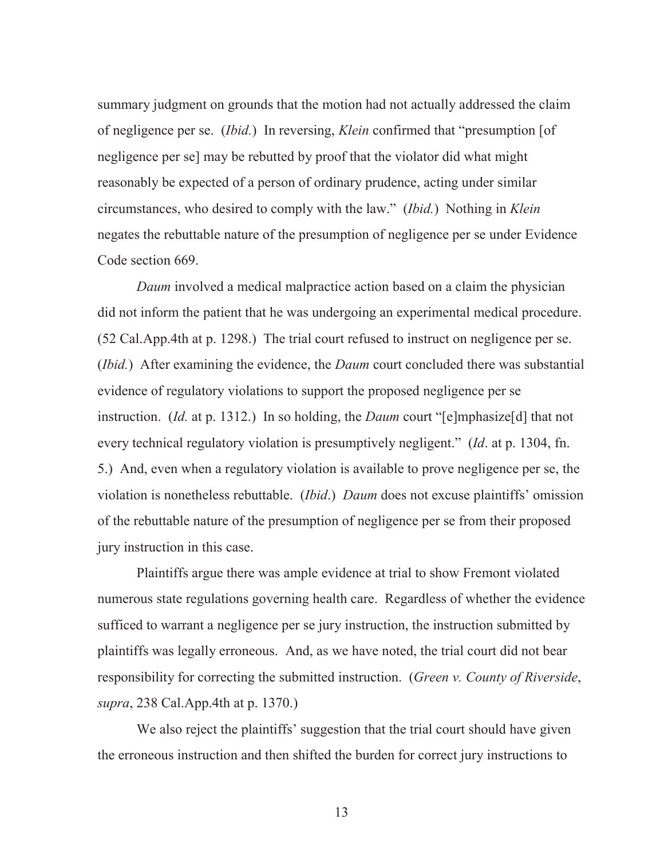summary judgment on grounds that the motion had not actually addressed the claim of negligence per se. (*Ibid.*) In reversing, *Klein* confirmed that "presumption [of negligence per se] may be rebutted by proof that the violator did what might reasonably be expected of a person of ordinary prudence, acting under similar circumstances, who desired to comply with the law." (*Ibid.*) Nothing in *Klein* negates the rebuttable nature of the presumption of negligence per se under Evidence Code section 669.

*Daum* involved a medical malpractice action based on a claim the physician did not inform the patient that he was undergoing an experimental medical procedure. (52 Cal.App.4th at p. 1298.) The trial court refused to instruct on negligence per se. (*Ibid.*) After examining the evidence, the *Daum* court concluded there was substantial evidence of regulatory violations to support the proposed negligence per se instruction. (*Id.* at p. 1312.) In so holding, the *Daum* court "[e]mphasize[d] that not every technical regulatory violation is presumptively negligent." (*Id*. at p. 1304, fn. 5.) And, even when a regulatory violation is available to prove negligence per se, the violation is nonetheless rebuttable. (*Ibid*.) *Daum* does not excuse plaintiffs' omission of the rebuttable nature of the presumption of negligence per se from their proposed jury instruction in this case.

Plaintiffs argue there was ample evidence at trial to show Fremont violated numerous state regulations governing health care. Regardless of whether the evidence sufficed to warrant a negligence per se jury instruction, the instruction submitted by plaintiffs was legally erroneous. And, as we have noted, the trial court did not bear responsibility for correcting the submitted instruction. (*Green v. County of Riverside*, *supra*, 238 Cal.App.4th at p. 1370.)

We also reject the plaintiffs' suggestion that the trial court should have given the erroneous instruction and then shifted the burden for correct jury instructions to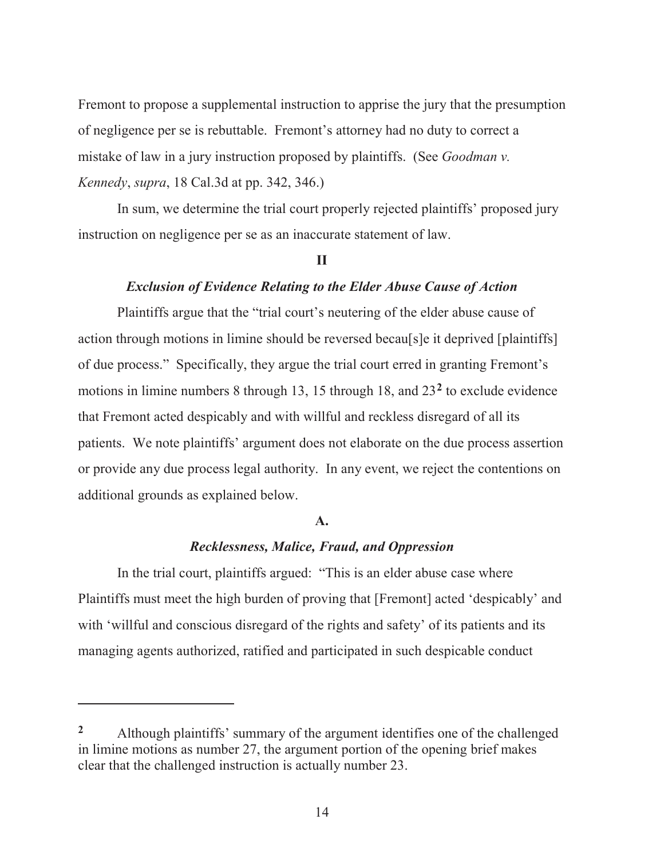Fremont to propose a supplemental instruction to apprise the jury that the presumption of negligence per se is rebuttable. Fremont's attorney had no duty to correct a mistake of law in a jury instruction proposed by plaintiffs. (See *Goodman v. Kennedy*, *supra*, 18 Cal.3d at pp. 342, 346.)

In sum, we determine the trial court properly rejected plaintiffs' proposed jury instruction on negligence per se as an inaccurate statement of law.

#### **II**

# *Exclusion of Evidence Relating to the Elder Abuse Cause of Action*

Plaintiffs argue that the "trial court's neutering of the elder abuse cause of action through motions in limine should be reversed becau[s]e it deprived [plaintiffs] of due process." Specifically, they argue the trial court erred in granting Fremont's motions in limine numbers 8 through 13, 15 through 18, and 23**2** to exclude evidence that Fremont acted despicably and with willful and reckless disregard of all its patients. We note plaintiffs' argument does not elaborate on the due process assertion or provide any due process legal authority. In any event, we reject the contentions on additional grounds as explained below.

#### **A.**

# *Recklessness, Malice, Fraud, and Oppression*

In the trial court, plaintiffs argued: "This is an elder abuse case where Plaintiffs must meet the high burden of proving that [Fremont] acted 'despicably' and with 'willful and conscious disregard of the rights and safety' of its patients and its managing agents authorized, ratified and participated in such despicable conduct

 $\overline{a}$ 

<sup>&</sup>lt;sup>2</sup> Although plaintiffs' summary of the argument identifies one of the challenged in limine motions as number 27, the argument portion of the opening brief makes clear that the challenged instruction is actually number 23.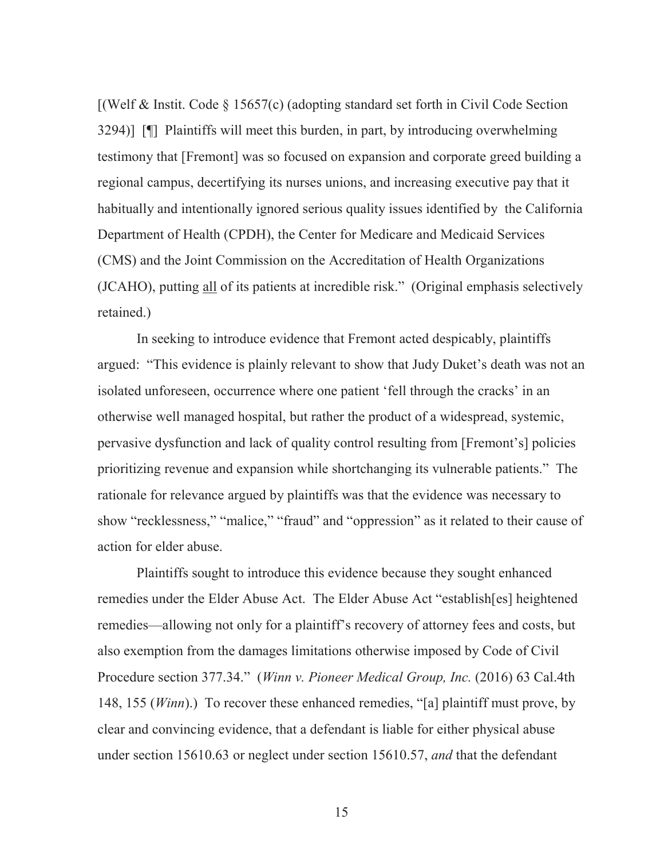[(Welf & Instit. Code § 15657(c) (adopting standard set forth in Civil Code Section 3294)] [¶] Plaintiffs will meet this burden, in part, by introducing overwhelming testimony that [Fremont] was so focused on expansion and corporate greed building a regional campus, decertifying its nurses unions, and increasing executive pay that it habitually and intentionally ignored serious quality issues identified by the California Department of Health (CPDH), the Center for Medicare and Medicaid Services (CMS) and the Joint Commission on the Accreditation of Health Organizations (JCAHO), putting all of its patients at incredible risk." (Original emphasis selectively retained.)

In seeking to introduce evidence that Fremont acted despicably, plaintiffs argued: "This evidence is plainly relevant to show that Judy Duket's death was not an isolated unforeseen, occurrence where one patient 'fell through the cracks' in an otherwise well managed hospital, but rather the product of a widespread, systemic, pervasive dysfunction and lack of quality control resulting from [Fremont's] policies prioritizing revenue and expansion while shortchanging its vulnerable patients." The rationale for relevance argued by plaintiffs was that the evidence was necessary to show "recklessness," "malice," "fraud" and "oppression" as it related to their cause of action for elder abuse.

Plaintiffs sought to introduce this evidence because they sought enhanced remedies under the Elder Abuse Act. The Elder Abuse Act "establish[es] heightened remedies—allowing not only for a plaintiff's recovery of attorney fees and costs, but also exemption from the damages limitations otherwise imposed by Code of Civil Procedure section 377.34." (*Winn v. Pioneer Medical Group, Inc.* (2016) 63 Cal.4th 148, 155 (*Winn*).) To recover these enhanced remedies, "[a] plaintiff must prove, by clear and convincing evidence, that a defendant is liable for either physical abuse under section 15610.63 or neglect under section 15610.57, *and* that the defendant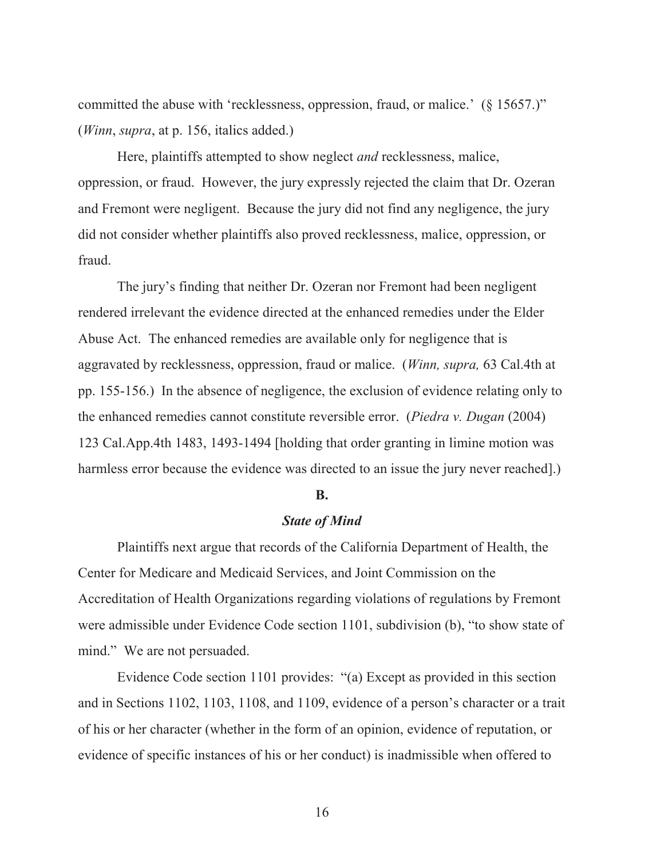committed the abuse with 'recklessness, oppression, fraud, or malice.' (§ 15657.)" (*Winn*, *supra*, at p. 156, italics added.)

Here, plaintiffs attempted to show neglect *and* recklessness, malice, oppression, or fraud. However, the jury expressly rejected the claim that Dr. Ozeran and Fremont were negligent. Because the jury did not find any negligence, the jury did not consider whether plaintiffs also proved recklessness, malice, oppression, or fraud.

The jury's finding that neither Dr. Ozeran nor Fremont had been negligent rendered irrelevant the evidence directed at the enhanced remedies under the Elder Abuse Act. The enhanced remedies are available only for negligence that is aggravated by recklessness, oppression, fraud or malice. (*Winn, supra,* 63 Cal.4th at pp. 155-156.) In the absence of negligence, the exclusion of evidence relating only to the enhanced remedies cannot constitute reversible error. (*Piedra v. Dugan* (2004) 123 Cal.App.4th 1483, 1493-1494 [holding that order granting in limine motion was harmless error because the evidence was directed to an issue the jury never reached.)

#### **B.**

### *State of Mind*

Plaintiffs next argue that records of the California Department of Health, the Center for Medicare and Medicaid Services, and Joint Commission on the Accreditation of Health Organizations regarding violations of regulations by Fremont were admissible under Evidence Code section 1101, subdivision (b), "to show state of mind." We are not persuaded.

Evidence Code section 1101 provides: "(a) Except as provided in this section and in Sections 1102, 1103, 1108, and 1109, evidence of a person's character or a trait of his or her character (whether in the form of an opinion, evidence of reputation, or evidence of specific instances of his or her conduct) is inadmissible when offered to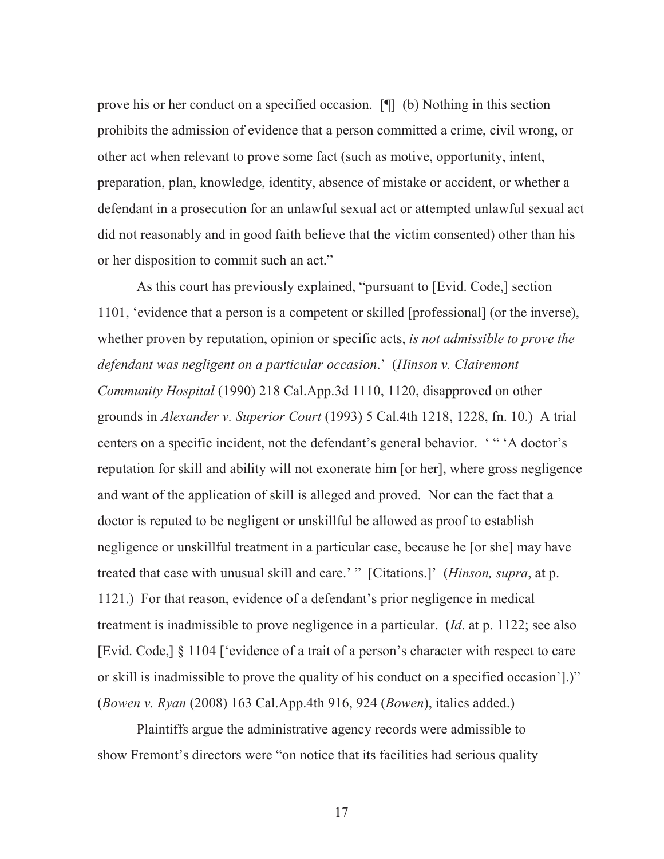prove his or her conduct on a specified occasion. [¶] (b) Nothing in this section prohibits the admission of evidence that a person committed a crime, civil wrong, or other act when relevant to prove some fact (such as motive, opportunity, intent, preparation, plan, knowledge, identity, absence of mistake or accident, or whether a defendant in a prosecution for an unlawful sexual act or attempted unlawful sexual act did not reasonably and in good faith believe that the victim consented) other than his or her disposition to commit such an act."

As this court has previously explained, "pursuant to [Evid. Code,] section 1101, 'evidence that a person is a competent or skilled [professional] (or the inverse), whether proven by reputation, opinion or specific acts, *is not admissible to prove the defendant was negligent on a particular occasion*.' (*Hinson v. Clairemont Community Hospital* (1990) 218 Cal.App.3d 1110, 1120, disapproved on other grounds in *Alexander v. Superior Court* (1993) 5 Cal.4th 1218, 1228, fn. 10.) A trial centers on a specific incident, not the defendant's general behavior. ' " 'A doctor's reputation for skill and ability will not exonerate him [or her], where gross negligence and want of the application of skill is alleged and proved. Nor can the fact that a doctor is reputed to be negligent or unskillful be allowed as proof to establish negligence or unskillful treatment in a particular case, because he [or she] may have treated that case with unusual skill and care.' " [Citations.]' (*Hinson, supra*, at p. 1121.) For that reason, evidence of a defendant's prior negligence in medical treatment is inadmissible to prove negligence in a particular. (*Id*. at p. 1122; see also [Evid. Code,] § 1104 ['evidence of a trait of a person's character with respect to care or skill is inadmissible to prove the quality of his conduct on a specified occasion'].)" (*Bowen v. Ryan* (2008) 163 Cal.App.4th 916, 924 (*Bowen*), italics added.)

Plaintiffs argue the administrative agency records were admissible to show Fremont's directors were "on notice that its facilities had serious quality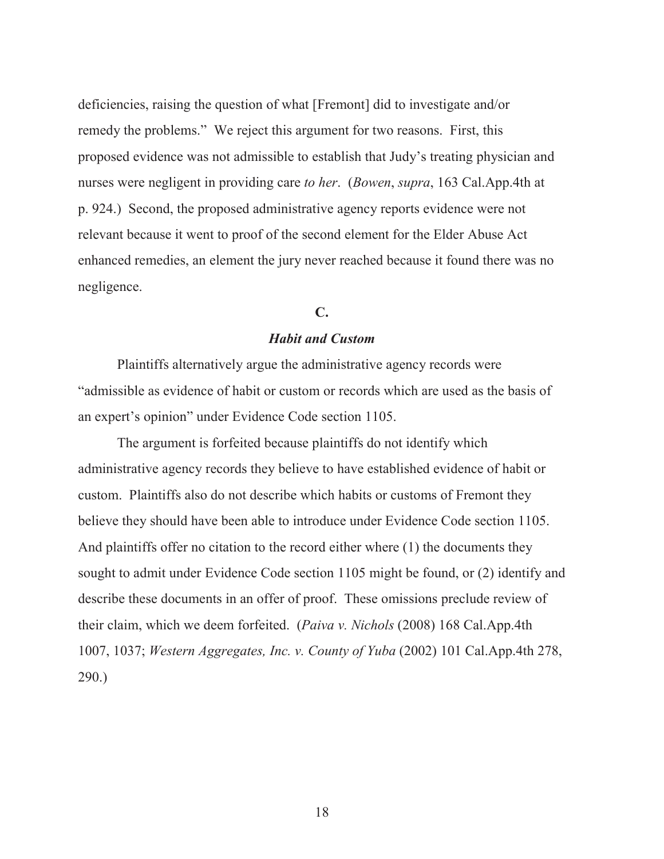deficiencies, raising the question of what [Fremont] did to investigate and/or remedy the problems." We reject this argument for two reasons. First, this proposed evidence was not admissible to establish that Judy's treating physician and nurses were negligent in providing care *to her*. (*Bowen*, *supra*, 163 Cal.App.4th at p. 924.) Second, the proposed administrative agency reports evidence were not relevant because it went to proof of the second element for the Elder Abuse Act enhanced remedies, an element the jury never reached because it found there was no negligence.

#### **C.**

#### *Habit and Custom*

Plaintiffs alternatively argue the administrative agency records were "admissible as evidence of habit or custom or records which are used as the basis of an expert's opinion" under Evidence Code section 1105.

The argument is forfeited because plaintiffs do not identify which administrative agency records they believe to have established evidence of habit or custom. Plaintiffs also do not describe which habits or customs of Fremont they believe they should have been able to introduce under Evidence Code section 1105. And plaintiffs offer no citation to the record either where (1) the documents they sought to admit under Evidence Code section 1105 might be found, or (2) identify and describe these documents in an offer of proof. These omissions preclude review of their claim, which we deem forfeited. (*Paiva v. Nichols* (2008) 168 Cal.App.4th 1007, 1037; *Western Aggregates, Inc. v. County of Yuba* (2002) 101 Cal.App.4th 278, 290.)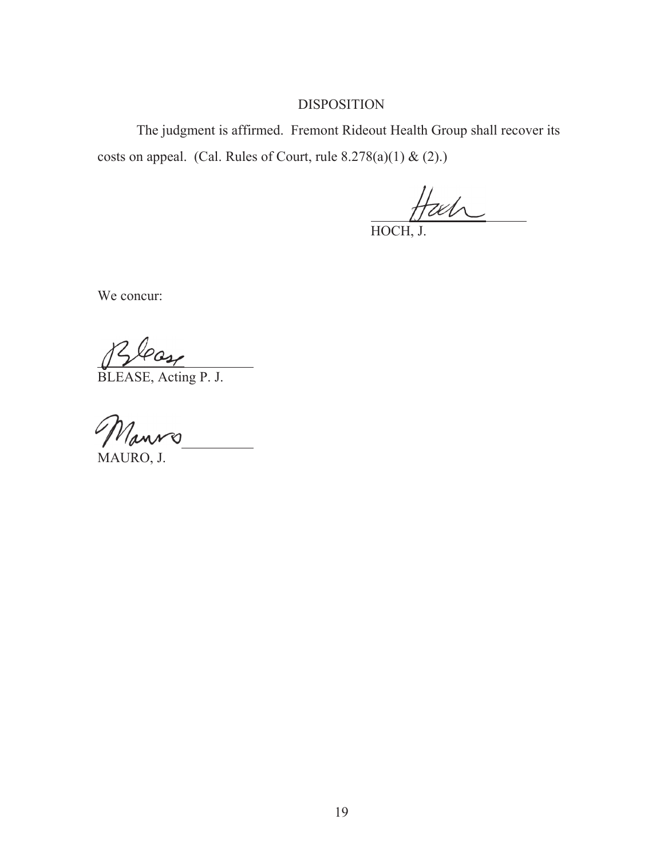# DISPOSITION

 The judgment is affirmed. Fremont Rideout Health Group shall recover its costs on appeal. (Cal. Rules of Court, rule  $8.278(a)(1) & (2)$ .)

HOCH, J.

 $\overline{a}$ 

We concur:

 $\overline{\phantom{a}}$ 

BLEASE, Acting P. J.

Nanro

MAURO, J.